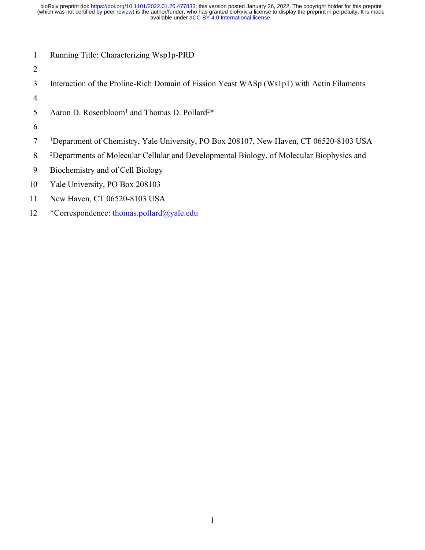- 1 Running Title: Characterizing Wsp1p-PRD
- 2
- 3 Interaction of the Proline-Rich Domain of Fission Yeast WASp (Ws1p1) with Actin Filaments
- 4
- 5 Aaron D. Rosenbloom<sup>1</sup> and Thomas D. Pollard<sup>2\*</sup>
- 6
- 7 <sup>1</sup>Department of Chemistry, Yale University, PO Box 208107, New Haven, CT 06520-8103 USA
- 8 <sup>2</sup>Departments of Molecular Cellular and Developmental Biology, of Molecular Biophysics and
- 9 Biochemistry and of Cell Biology
- 10 Yale University, PO Box 208103
- 11 New Haven, CT 06520-8103 USA
- 12 \*Correspondence: thomas.pollard@yale.edu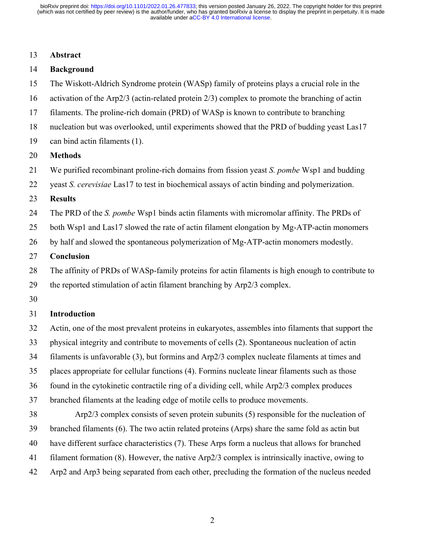#### 13 **Abstract**

## 14 **Background**

- 15 The Wiskott-Aldrich Syndrome protein (WASp) family of proteins plays a crucial role in the
- 16 activation of the Arp2/3 (actin-related protein 2/3) complex to promote the branching of actin
- 17 filaments. The proline-rich domain (PRD) of WASp is known to contribute to branching
- 18 nucleation but was overlooked, until experiments showed that the PRD of budding yeast Las17
- 19 can bind actin filaments (1).

#### 20 **Methods**

- 21 We purified recombinant proline-rich domains from fission yeast *S. pombe* Wsp1 and budding
- 22 yeast *S. cerevisiae* Las17 to test in biochemical assays of actin binding and polymerization.
- 23 **Results**
- 24 The PRD of the *S. pombe* Wsp1 binds actin filaments with micromolar affinity. The PRDs of
- 25 both Wsp1 and Las17 slowed the rate of actin filament elongation by Mg-ATP-actin monomers
- 26 by half and slowed the spontaneous polymerization of Mg-ATP-actin monomers modestly.
- 27 **Conclusion**
- 28 The affinity of PRDs of WASp-family proteins for actin filaments is high enough to contribute to
- 29 the reported stimulation of actin filament branching by Arp2/3 complex.
- 30

## 31 **Introduction**

- 32 Actin, one of the most prevalent proteins in eukaryotes, assembles into filaments that support the
- 33 physical integrity and contribute to movements of cells (2). Spontaneous nucleation of actin
- 34 filaments is unfavorable (3), but formins and Arp2/3 complex nucleate filaments at times and
- 35 places appropriate for cellular functions (4). Formins nucleate linear filaments such as those
- 36 found in the cytokinetic contractile ring of a dividing cell, while Arp2/3 complex produces
- 37 branched filaments at the leading edge of motile cells to produce movements.
- 38 Arp2/3 complex consists of seven protein subunits (5) responsible for the nucleation of
- 39 branched filaments (6). The two actin related proteins (Arps) share the same fold as actin but
- 40 have different surface characteristics (7). These Arps form a nucleus that allows for branched
- 41 filament formation (8). However, the native Arp2/3 complex is intrinsically inactive, owing to
- 42 Arp2 and Arp3 being separated from each other, precluding the formation of the nucleus needed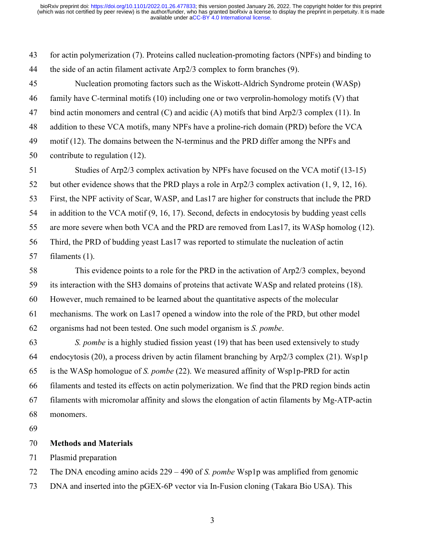43 for actin polymerization (7). Proteins called nucleation-promoting factors (NPFs) and binding to 44 the side of an actin filament activate Arp2/3 complex to form branches (9).

45 Nucleation promoting factors such as the Wiskott-Aldrich Syndrome protein (WASp) 46 family have C-terminal motifs (10) including one or two verprolin-homology motifs (V) that 47 bind actin monomers and central (C) and acidic (A) motifs that bind Arp2/3 complex (11). In 48 addition to these VCA motifs, many NPFs have a proline-rich domain (PRD) before the VCA 49 motif (12). The domains between the N-terminus and the PRD differ among the NPFs and 50 contribute to regulation (12).

51 Studies of Arp2/3 complex activation by NPFs have focused on the VCA motif (13-15) 52 but other evidence shows that the PRD plays a role in Arp2/3 complex activation (1, 9, 12, 16). 53 First, the NPF activity of Scar, WASP, and Las17 are higher for constructs that include the PRD 54 in addition to the VCA motif (9, 16, 17). Second, defects in endocytosis by budding yeast cells 55 are more severe when both VCA and the PRD are removed from Las17, its WASp homolog (12). 56 Third, the PRD of budding yeast Las17 was reported to stimulate the nucleation of actin 57 filaments (1).

58 This evidence points to a role for the PRD in the activation of Arp2/3 complex, beyond 59 its interaction with the SH3 domains of proteins that activate WASp and related proteins (18). 60 However, much remained to be learned about the quantitative aspects of the molecular 61 mechanisms. The work on Las17 opened a window into the role of the PRD, but other model 62 organisms had not been tested. One such model organism is *S. pombe*.

63 *S. pombe* is a highly studied fission yeast (19) that has been used extensively to study 64 endocytosis (20), a process driven by actin filament branching by Arp2/3 complex (21). Wsp1p 65 is the WASp homologue of *S. pombe* (22). We measured affinity of Wsp1p-PRD for actin 66 filaments and tested its effects on actin polymerization. We find that the PRD region binds actin 67 filaments with micromolar affinity and slows the elongation of actin filaments by Mg-ATP-actin 68 monomers.

69

# 70 **Methods and Materials**

71 Plasmid preparation

72 The DNA encoding amino acids 229 – 490 of *S. pombe* Wsp1p was amplified from genomic

73 DNA and inserted into the pGEX-6P vector via In-Fusion cloning (Takara Bio USA). This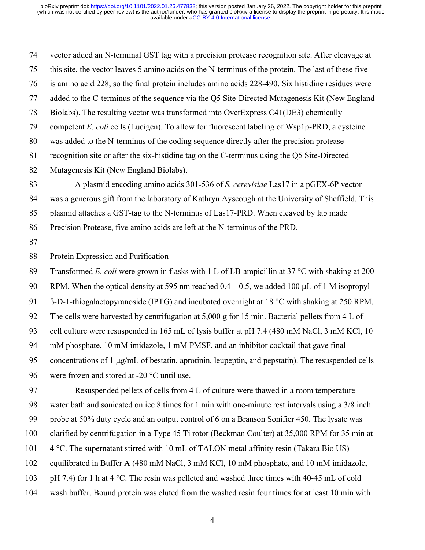74 vector added an N-terminal GST tag with a precision protease recognition site. After cleavage at 75 this site, the vector leaves 5 amino acids on the N-terminus of the protein. The last of these five 76 is amino acid 228, so the final protein includes amino acids 228-490. Six histidine residues were 77 added to the C-terminus of the sequence via the Q5 Site-Directed Mutagenesis Kit (New England 78 Biolabs). The resulting vector was transformed into OverExpress C41(DE3) chemically 79 competent *E. coli* cells (Lucigen). To allow for fluorescent labeling of Wsp1p-PRD, a cysteine 80 was added to the N-terminus of the coding sequence directly after the precision protease 81 recognition site or after the six-histidine tag on the C-terminus using the Q5 Site-Directed 82 Mutagenesis Kit (New England Biolabs). 83 A plasmid encoding amino acids 301-536 of *S. cerevisiae* Las17 in a pGEX-6P vector 84 was a generous gift from the laboratory of Kathryn Ayscough at the University of Sheffield. This 85 plasmid attaches a GST-tag to the N-terminus of Las17-PRD. When cleaved by lab made 86 Precision Protease, five amino acids are left at the N-terminus of the PRD. 87 88 Protein Expression and Purification 89 Transformed *E. coli* were grown in flasks with 1 L of LB-ampicillin at 37 °C with shaking at 200 90 RPM. When the optical density at 595 nm reached  $0.4 - 0.5$ , we added 100  $\mu$ L of 1 M isopropyl 91 B-D-1-thiogalactopyranoside (IPTG) and incubated overnight at 18  $\degree$ C with shaking at 250 RPM. 92 The cells were harvested by centrifugation at 5,000 g for 15 min. Bacterial pellets from 4 L of 93 cell culture were resuspended in 165 mL of lysis buffer at pH 7.4 (480 mM NaCl, 3 mM KCl, 10

94 mM phosphate, 10 mM imidazole, 1 mM PMSF, and an inhibitor cocktail that gave final

95 concentrations of 1  $\mu$ g/mL of bestatin, aprotinin, leupeptin, and pepstatin). The resuspended cells

96 were frozen and stored at  $-20$  °C until use.

97 Resuspended pellets of cells from 4 L of culture were thawed in a room temperature 98 water bath and sonicated on ice 8 times for 1 min with one-minute rest intervals using a 3/8 inch 99 probe at 50% duty cycle and an output control of 6 on a Branson Sonifier 450. The lysate was

100 clarified by centrifugation in a Type 45 Ti rotor (Beckman Coulter) at 35,000 RPM for 35 min at

- 101  $\div$  4 °C. The supernatant stirred with 10 mL of TALON metal affinity resin (Takara Bio US)
- 102 equilibrated in Buffer A (480 mM NaCl, 3 mM KCl, 10 mM phosphate, and 10 mM imidazole,

103 pH 7.4) for 1 h at 4  $^{\circ}$ C. The resin was pelleted and washed three times with 40-45 mL of cold

104 wash buffer. Bound protein was eluted from the washed resin four times for at least 10 min with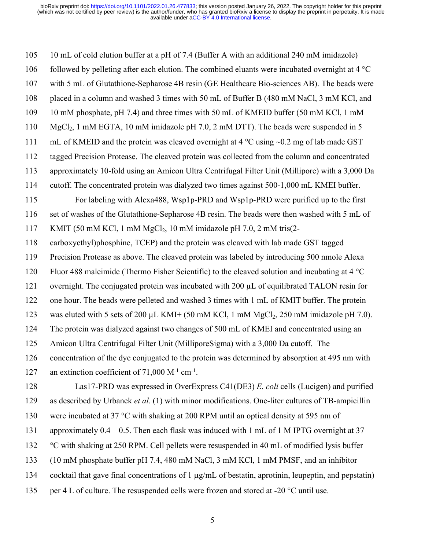105 10 mL of cold elution buffer at a pH of 7.4 (Buffer A with an additional 240 mM imidazole) 106 followed by pelleting after each elution. The combined eluants were incubated overnight at  $4^{\circ}C$ 107 with 5 mL of Glutathione-Sepharose 4B resin (GE Healthcare Bio-sciences AB). The beads were 108 placed in a column and washed 3 times with 50 mL of Buffer B (480 mM NaCl, 3 mM KCl, and 109 10 mM phosphate, pH 7.4) and three times with 50 mL of KMEID buffer (50 mM KCl, 1 mM 110 MgCl<sub>2</sub>, 1 mM EGTA, 10 mM imidazole pH 7.0, 2 mM DTT). The beads were suspended in 5 111 mL of KMEID and the protein was cleaved overnight at  $4^{\circ}$ C using  $\sim 0.2$  mg of lab made GST 112 tagged Precision Protease. The cleaved protein was collected from the column and concentrated 113 approximately 10-fold using an Amicon Ultra Centrifugal Filter Unit (Millipore) with a 3,000 Da 114 cutoff. The concentrated protein was dialyzed two times against 500-1,000 mL KMEI buffer. 115 For labeling with Alexa488, Wsp1p-PRD and Wsp1p-PRD were purified up to the first 116 set of washes of the Glutathione-Sepharose 4B resin. The beads were then washed with 5 mL of 117 KMIT (50 mM KCl, 1 mM  $MgCl<sub>2</sub>$ , 10 mM imidazole pH 7.0, 2 mM tris(2-118 carboxyethyl)phosphine, TCEP) and the protein was cleaved with lab made GST tagged 119 Precision Protease as above. The cleaved protein was labeled by introducing 500 nmole Alexa 120 Fluor 488 maleimide (Thermo Fisher Scientific) to the cleaved solution and incubating at 4 °C 121 overnight. The conjugated protein was incubated with 200 µL of equilibrated TALON resin for 122 one hour. The beads were pelleted and washed 3 times with 1 mL of KMIT buffer. The protein 123 was eluted with 5 sets of 200  $\mu$ L KMI+ (50 mM KCl, 1 mM MgCl<sub>2</sub>, 250 mM imidazole pH 7.0). 124 The protein was dialyzed against two changes of 500 mL of KMEI and concentrated using an 125 Amicon Ultra Centrifugal Filter Unit (MilliporeSigma) with a 3,000 Da cutoff. The 126 concentration of the dye conjugated to the protein was determined by absorption at 495 nm with 127 an extinction coefficient of 71,000 M<sup>-1</sup> cm<sup>-1</sup>. 128 Las17-PRD was expressed in OverExpress C41(DE3) *E. coli* cells (Lucigen) and purified 129 as described by Urbanek *et al*. (1) with minor modifications. One-liter cultures of TB-ampicillin 130 were incubated at 37  $\degree$ C with shaking at 200 RPM until an optical density at 595 nm of 131 approximately 0.4 – 0.5. Then each flask was induced with 1 mL of 1 M IPTG overnight at 37 132  $\degree$ C with shaking at 250 RPM. Cell pellets were resuspended in 40 mL of modified lysis buffer 133 (10 mM phosphate buffer pH 7.4, 480 mM NaCl, 3 mM KCl, 1 mM PMSF, and an inhibitor 134 cocktail that gave final concentrations of 1  $\mu$ g/mL of bestatin, aprotinin, leupeptin, and pepstatin) 135 per 4 L of culture. The resuspended cells were frozen and stored at -20  $^{\circ}$ C until use.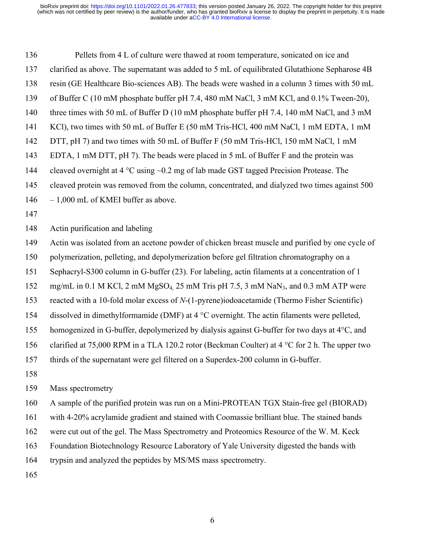136 Pellets from 4 L of culture were thawed at room temperature, sonicated on ice and 137 clarified as above. The supernatant was added to 5 mL of equilibrated Glutathione Sepharose 4B 138 resin (GE Healthcare Bio-sciences AB). The beads were washed in a column 3 times with 50 mL 139 of Buffer C (10 mM phosphate buffer pH 7.4, 480 mM NaCl, 3 mM KCl, and 0.1% Tween-20), 140 three times with 50 mL of Buffer D (10 mM phosphate buffer pH 7.4, 140 mM NaCl, and 3 mM 141 KCl), two times with 50 mL of Buffer E (50 mM Tris-HCl, 400 mM NaCl, 1 mM EDTA, 1 mM 142 DTT, pH 7) and two times with 50 mL of Buffer F (50 mM Tris-HCl, 150 mM NaCl, 1 mM 143 EDTA, 1 mM DTT, pH 7). The beads were placed in 5 mL of Buffer F and the protein was 144 cleaved overnight at  $4^{\circ}$ C using  $\sim 0.2$  mg of lab made GST tagged Precision Protease. The 145 cleaved protein was removed from the column, concentrated, and dialyzed two times against 500 146 – 1,000 mL of KMEI buffer as above.

147

148 Actin purification and labeling

- 149 Actin was isolated from an acetone powder of chicken breast muscle and purified by one cycle of
- 150 polymerization, pelleting, and depolymerization before gel filtration chromatography on a
- 151 Sephacryl-S300 column in G-buffer (23). For labeling, actin filaments at a concentration of 1
- 152 mg/mL in 0.1 M KCl, 2 mM MgSO<sub>4</sub>, 25 mM Tris pH 7.5, 3 mM NaN<sub>3</sub>, and 0.3 mM ATP were
- 153 reacted with a 10-fold molar excess of *N*-(1-pyrene)iodoacetamide (Thermo Fisher Scientific)
- 154 dissolved in dimethylformamide (DMF) at 4 °C overnight. The actin filaments were pelleted,
- 155 homogenized in G-buffer, depolymerized by dialysis against G-buffer for two days at 4°C, and
- 156 clarified at 75,000 RPM in a TLA 120.2 rotor (Beckman Coulter) at 4  $\degree$ C for 2 h. The upper two
- 157 thirds of the supernatant were gel filtered on a Superdex-200 column in G-buffer.
- 158

159 Mass spectrometry

160 A sample of the purified protein was run on a Mini-PROTEAN TGX Stain-free gel (BIORAD)

161 with 4-20% acrylamide gradient and stained with Coomassie brilliant blue. The stained bands

162 were cut out of the gel. The Mass Spectrometry and Proteomics Resource of the W. M. Keck

163 Foundation Biotechnology Resource Laboratory of Yale University digested the bands with

164 trypsin and analyzed the peptides by MS/MS mass spectrometry.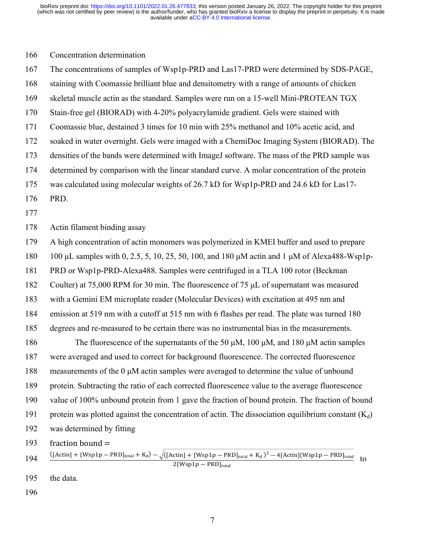#### 166 Concentration determination

167 The concentrations of samples of Wsp1p-PRD and Las17-PRD were determined by SDS-PAGE,

- 168 staining with Coomassie brilliant blue and densitometry with a range of amounts of chicken
- 169 skeletal muscle actin as the standard. Samples were run on a 15-well Mini-PROTEAN TGX
- 170 Stain-free gel (BIORAD) with 4-20% polyacrylamide gradient. Gels were stained with
- 171 Coomassie blue, destained 3 times for 10 min with 25% methanol and 10% acetic acid, and
- 172 soaked in water overnight. Gels were imaged with a ChemiDoc Imaging System (BIORAD). The
- 173 densities of the bands were determined with ImageJ software. The mass of the PRD sample was
- 174 determined by comparison with the linear standard curve. A molar concentration of the protein
- 175 was calculated using molecular weights of 26.7 kD for Wsp1p-PRD and 24.6 kD for Las17-
- 176 PRD.
- 177

178 Actin filament binding assay

179 A high concentration of actin monomers was polymerized in KMEI buffer and used to prepare

- 180 100 μL samples with 0, 2.5, 5, 10, 25, 50, 100, and 180 μM actin and 1 μM of Alexa488-Wsp1p-
- 181 PRD or Wsp1p-PRD-Alexa488. Samples were centrifuged in a TLA 100 rotor (Beckman

182 Coulter) at 75,000 RPM for 30 min. The fluorescence of 75 μL of supernatant was measured

183 with a Gemini EM microplate reader (Molecular Devices) with excitation at 495 nm and

184 emission at 519 nm with a cutoff at 515 nm with 6 flashes per read. The plate was turned 180

185 degrees and re-measured to be certain there was no instrumental bias in the measurements.

186 The fluorescence of the supernatants of the 50 μM, 100 μM, and 180 μM actin samples 187 were averaged and used to correct for background fluorescence. The corrected fluorescence 188 measurements of the 0 μM actin samples were averaged to determine the value of unbound 189 protein. Subtracting the ratio of each corrected fluorescence value to the average fluorescence 190 value of 100% unbound protein from 1 gave the fraction of bound protein. The fraction of bound 191 protein was plotted against the concentration of actin. The dissociation equilibrium constant  $(K_d)$ 192 was determined by fitting

193 fraction bound  $=$ 

$$
194 \quad \frac{([Actin] + {Wsp1p - PRD]_{total} + K_d) - \sqrt{([Actin] + {Wsp1p - PRD]_{total} + K_d)^2 - 4[Actin]{Wsp1p - PRD]_{total}}}{2\{Wsp1p - PRD]_{total}}}{to}
$$

- 195 the data.
- 196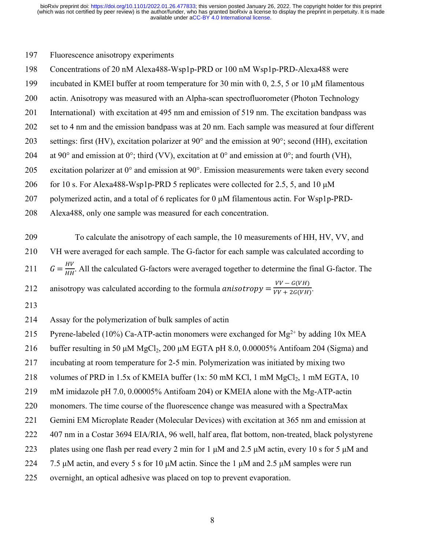## 197 Fluorescence anisotropy experiments

- 198 Concentrations of 20 nM Alexa488-Wsp1p-PRD or 100 nM Wsp1p-PRD-Alexa488 were
- 199 incubated in KMEI buffer at room temperature for 30 min with 0, 2.5, 5 or 10 μM filamentous
- 200 actin. Anisotropy was measured with an Alpha-scan spectrofluorometer (Photon Technology
- 201 International) with excitation at 495 nm and emission of 519 nm. The excitation bandpass was
- 202 set to 4 nm and the emission bandpass was at 20 nm. Each sample was measured at four different
- 203 settings: first (HV), excitation polarizer at 90° and the emission at 90°; second (HH), excitation
- 204 at 90 $^{\circ}$  and emission at 0 $^{\circ}$ ; third (VV), excitation at 0 $^{\circ}$  and emission at 0 $^{\circ}$ ; and fourth (VH),
- 205 excitation polarizer at 0° and emission at 90°. Emission measurements were taken every second
- 206 for 10 s. For Alexa488-Wsp1p-PRD 5 replicates were collected for 2.5, 5, and 10 μM
- 207 polymerized actin, and a total of 6 replicates for 0 μM filamentous actin. For Wsp1p-PRD-
- 208 Alexa488, only one sample was measured for each concentration.

209 To calculate the anisotropy of each sample, the 10 measurements of HH, HV, VV, and 210 VH were averaged for each sample. The G-factor for each sample was calculated according to 211  $G = \frac{HV}{HH}$ . All the calculated G-factors were averaged together to determine the final G-factor. The 212 anisotropy was calculated according to the formula anisotropy =  $\frac{VV - G(VH)}{VV + 2G(VH)}$ . 213

- 214 Assay for the polymerization of bulk samples of actin
- 215 Pyrene-labeled (10%) Ca-ATP-actin monomers were exchanged for  $Mg^{2+}$  by adding 10x MEA
- 216 buffer resulting in 50 μM MgCl<sub>2</sub>, 200 μM EGTA pH 8.0, 0.00005% Antifoam 204 (Sigma) and
- 217 incubating at room temperature for 2-5 min. Polymerization was initiated by mixing two
- 218 volumes of PRD in 1.5x of KMEIA buffer  $(1x: 50 \text{ mM KCl}, 1 \text{ mM MgCl}_2, 1 \text{ mM EGTA}, 10)$
- 219 mM imidazole pH 7.0, 0.00005% Antifoam 204) or KMEIA alone with the Mg-ATP-actin
- 220 monomers. The time course of the fluorescence change was measured with a SpectraMax
- 221 Gemini EM Microplate Reader (Molecular Devices) with excitation at 365 nm and emission at
- 222 407 nm in a Costar 3694 EIA/RIA, 96 well, half area, flat bottom, non-treated, black polystyrene
- 223 plates using one flash per read every 2 min for 1  $\mu$ M and 2.5  $\mu$ M actin, every 10 s for 5  $\mu$ M and
- 224 7.5 μM actin, and every 5 s for 10 μM actin. Since the 1 μM and 2.5 μM samples were run
- 225 overnight, an optical adhesive was placed on top to prevent evaporation.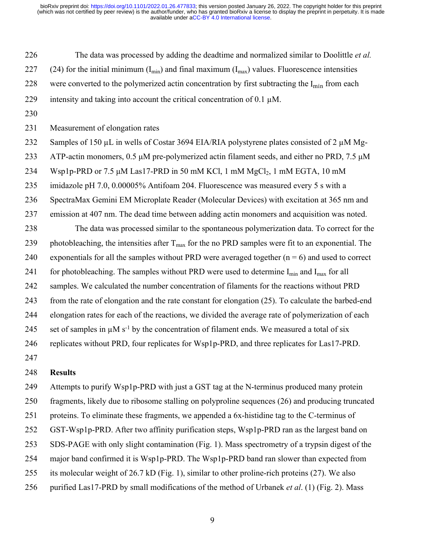226 The data was processed by adding the deadtime and normalized similar to Doolittle *et al.*

227 (24) for the initial minimum ( $I_{min}$ ) and final maximum ( $I_{max}$ ) values. Fluorescence intensities

228 were converted to the polymerized actin concentration by first subtracting the  $I_{\text{min}}$  from each

- 229 intensity and taking into account the critical concentration of 0.1  $\mu$ M.
- 230

231 Measurement of elongation rates

232 Samples of 150 µL in wells of Costar 3694 EIA/RIA polystyrene plates consisted of 2 µM Mg-

233 ATP-actin monomers, 0.5 μM pre-polymerized actin filament seeds, and either no PRD, 7.5 μM

234 Wsp1p-PRD or 7.5  $\mu$ M Las17-PRD in 50 mM KCl, 1 mM MgCl<sub>2</sub>, 1 mM EGTA, 10 mM

235 imidazole pH 7.0, 0.00005% Antifoam 204. Fluorescence was measured every 5 s with a

236 SpectraMax Gemini EM Microplate Reader (Molecular Devices) with excitation at 365 nm and

237 emission at 407 nm. The dead time between adding actin monomers and acquisition was noted.

238 The data was processed similar to the spontaneous polymerization data. To correct for the 239 photobleaching, the intensities after  $T_{\text{max}}$  for the no PRD samples were fit to an exponential. The 240 exponentials for all the samples without PRD were averaged together  $(n = 6)$  and used to correct 241 for photobleaching. The samples without PRD were used to determine  $I_{min}$  and  $I_{max}$  for all 242 samples. We calculated the number concentration of filaments for the reactions without PRD 243 from the rate of elongation and the rate constant for elongation (25). To calculate the barbed-end 244 elongation rates for each of the reactions, we divided the average rate of polymerization of each 245 set of samples in  $\mu$ M s<sup>-1</sup> by the concentration of filament ends. We measured a total of six 246 replicates without PRD, four replicates for Wsp1p-PRD, and three replicates for Las17-PRD.

247

## 248 **Results**

249 Attempts to purify Wsp1p-PRD with just a GST tag at the N-terminus produced many protein 250 fragments, likely due to ribosome stalling on polyproline sequences (26) and producing truncated 251 proteins. To eliminate these fragments, we appended a 6x-histidine tag to the C-terminus of 252 GST-Wsp1p-PRD. After two affinity purification steps, Wsp1p-PRD ran as the largest band on 253 SDS-PAGE with only slight contamination (Fig. 1). Mass spectrometry of a trypsin digest of the 254 major band confirmed it is Wsp1p-PRD. The Wsp1p-PRD band ran slower than expected from 255 its molecular weight of 26.7 kD (Fig. 1), similar to other proline-rich proteins (27). We also 256 purified Las17-PRD by small modifications of the method of Urbanek *et al*. (1) (Fig. 2). Mass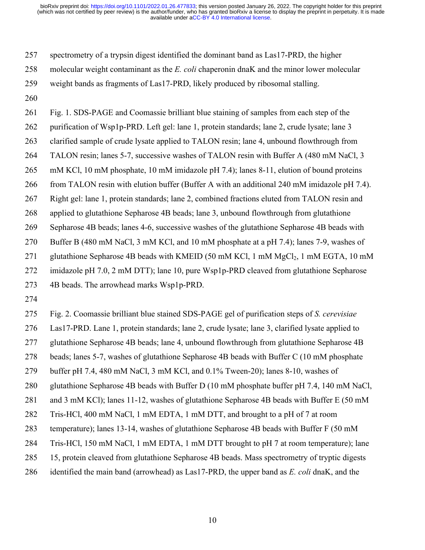257 spectrometry of a trypsin digest identified the dominant band as Las17-PRD, the higher

258 molecular weight contaminant as the *E. coli* chaperonin dnaK and the minor lower molecular

259 weight bands as fragments of Las17-PRD, likely produced by ribosomal stalling.

260

261 Fig. 1. SDS-PAGE and Coomassie brilliant blue staining of samples from each step of the

262 purification of Wsp1p-PRD. Left gel: lane 1, protein standards; lane 2, crude lysate; lane 3

263 clarified sample of crude lysate applied to TALON resin; lane 4, unbound flowthrough from

264 TALON resin; lanes 5-7, successive washes of TALON resin with Buffer A (480 mM NaCl, 3

265 mM KCl, 10 mM phosphate, 10 mM imidazole pH 7.4); lanes 8-11, elution of bound proteins

266 from TALON resin with elution buffer (Buffer A with an additional 240 mM imidazole pH 7.4).

267 Right gel: lane 1, protein standards; lane 2, combined fractions eluted from TALON resin and

268 applied to glutathione Sepharose 4B beads; lane 3, unbound flowthrough from glutathione

269 Sepharose 4B beads; lanes 4-6, successive washes of the glutathione Sepharose 4B beads with

270 Buffer B (480 mM NaCl, 3 mM KCl, and 10 mM phosphate at a pH 7.4); lanes 7-9, washes of

271 glutathione Sepharose 4B beads with KMEID (50 mM KCl, 1 mM  $MgCl<sub>2</sub>$ , 1 mM EGTA, 10 mM

272 imidazole pH 7.0, 2 mM DTT); lane 10, pure Wsp1p-PRD cleaved from glutathione Sepharose

273 4B beads. The arrowhead marks Wsp1p-PRD.

274

275 Fig. 2. Coomassie brilliant blue stained SDS-PAGE gel of purification steps of *S. cerevisiae*

276 Las17-PRD. Lane 1, protein standards; lane 2, crude lysate; lane 3, clarified lysate applied to

277 glutathione Sepharose 4B beads; lane 4, unbound flowthrough from glutathione Sepharose 4B

278 beads; lanes 5-7, washes of glutathione Sepharose 4B beads with Buffer C (10 mM phosphate

279 buffer pH 7.4, 480 mM NaCl, 3 mM KCl, and 0.1% Tween-20); lanes 8-10, washes of

280 glutathione Sepharose 4B beads with Buffer D (10 mM phosphate buffer pH 7.4, 140 mM NaCl,

281 and 3 mM KCl); lanes 11-12, washes of glutathione Sepharose 4B beads with Buffer E (50 mM

282 Tris-HCl, 400 mM NaCl, 1 mM EDTA, 1 mM DTT, and brought to a pH of 7 at room

283 temperature); lanes 13-14, washes of glutathione Sepharose 4B beads with Buffer F (50 mM

284 Tris-HCl, 150 mM NaCl, 1 mM EDTA, 1 mM DTT brought to pH 7 at room temperature); lane

285 15, protein cleaved from glutathione Sepharose 4B beads. Mass spectrometry of tryptic digests

286 identified the main band (arrowhead) as Las17-PRD, the upper band as *E. coli* dnaK, and the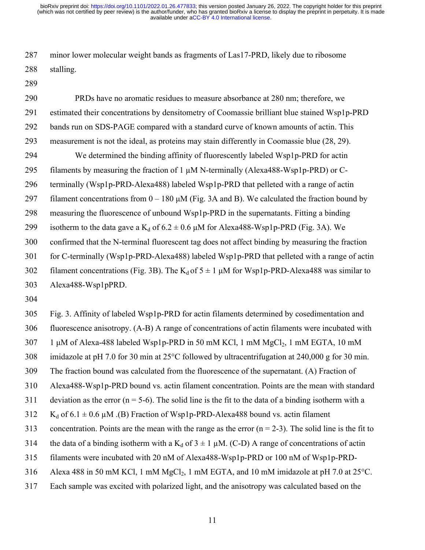287 minor lower molecular weight bands as fragments of Las17-PRD, likely due to ribosome 288 stalling.

289

290 PRDs have no aromatic residues to measure absorbance at 280 nm; therefore, we 291 estimated their concentrations by densitometry of Coomassie brilliant blue stained Wsp1p-PRD 292 bands run on SDS-PAGE compared with a standard curve of known amounts of actin. This 293 measurement is not the ideal, as proteins may stain differently in Coomassie blue (28, 29). 294 We determined the binding affinity of fluorescently labeled Wsp1p-PRD for actin 295 filaments by measuring the fraction of 1 µM N-terminally (Alexa488-Wsp1p-PRD) or C-296 terminally (Wsp1p-PRD-Alexa488) labeled Wsp1p-PRD that pelleted with a range of actin 297 filament concentrations from  $0 - 180 \mu M$  (Fig. 3A and B). We calculated the fraction bound by 298 measuring the fluorescence of unbound Wsp1p-PRD in the supernatants. Fitting a binding 299 isotherm to the data gave a  $K_d$  of  $6.2 \pm 0.6$   $\mu$ M for Alexa488-Wsp1p-PRD (Fig. 3A). We 300 confirmed that the N-terminal fluorescent tag does not affect binding by measuring the fraction 301 for C-terminally (Wsp1p-PRD-Alexa488) labeled Wsp1p-PRD that pelleted with a range of actin 302 filament concentrations (Fig. 3B). The  $K_d$  of  $5 \pm 1 \mu M$  for Wsp1p-PRD-Alexa488 was similar to 303 Alexa488-Wsp1pPRD.

304

305 Fig. 3. Affinity of labeled Wsp1p-PRD for actin filaments determined by cosedimentation and 306 fluorescence anisotropy. (A-B) A range of concentrations of actin filaments were incubated with  $307$  1 μM of Alexa-488 labeled Wsp1p-PRD in 50 mM KCl, 1 mM MgCl<sub>2</sub>, 1 mM EGTA, 10 mM 308 imidazole at pH 7.0 for 30 min at 25°C followed by ultracentrifugation at 240,000 g for 30 min. 309 The fraction bound was calculated from the fluorescence of the supernatant. (A) Fraction of 310 Alexa488-Wsp1p-PRD bound vs. actin filament concentration. Points are the mean with standard 311 deviation as the error ( $n = 5-6$ ). The solid line is the fit to the data of a binding isotherm with a 312 K<sub>d</sub> of 6.1  $\pm$  0.6 µM .(B) Fraction of Wsp1p-PRD-Alexa488 bound vs. actin filament 313 concentration. Points are the mean with the range as the error  $(n = 2-3)$ . The solid line is the fit to 314 the data of a binding isotherm with a  $K_d$  of  $3 \pm 1 \mu M$ . (C-D) A range of concentrations of actin 315 filaments were incubated with 20 nM of Alexa488-Wsp1p-PRD or 100 nM of Wsp1p-PRD-316 Alexa 488 in 50 mM KCl, 1 mM  $MgCl<sub>2</sub>$ , 1 mM EGTA, and 10 mM imidazole at pH 7.0 at 25°C. 317 Each sample was excited with polarized light, and the anisotropy was calculated based on the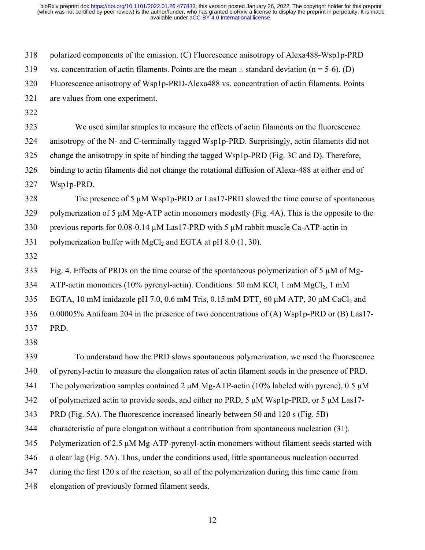318 polarized components of the emission. (C) Fluorescence anisotropy of Alexa488-Wsp1p-PRD 319 vs. concentration of actin filaments. Points are the mean  $\pm$  standard deviation (n = 5-6). (D) 320 Fluorescence anisotropy of Wsp1p-PRD-Alexa488 vs. concentration of actin filaments. Points 321 are values from one experiment. 322 323 We used similar samples to measure the effects of actin filaments on the fluorescence 324 anisotropy of the N- and C-terminally tagged Wsp1p-PRD. Surprisingly, actin filaments did not 325 change the anisotropy in spite of binding the tagged Wsp1p-PRD (Fig. 3C and D). Therefore, 326 binding to actin filaments did not change the rotational diffusion of Alexa-488 at either end of 327 Wsp1p-PRD. 328 The presence of 5  $\mu$ M Wsp1p-PRD or Las17-PRD slowed the time course of spontaneous 329 polymerization of 5  $\mu$ M Mg-ATP actin monomers modestly (Fig. 4A). This is the opposite to the 330 previous reports for 0.08-0.14 µM Las17-PRD with 5 µM rabbit muscle Ca-ATP-actin in 331 polymerization buffer with MgCl<sub>2</sub> and EGTA at pH 8.0  $(1, 30)$ . 332 333 Fig. 4. Effects of PRDs on the time course of the spontaneous polymerization of 5 µM of Mg-334 ATP-actin monomers (10% pyrenyl-actin). Conditions: 50 mM KCl, 1 mM  $MgCl<sub>2</sub>$ , 1 mM 335 EGTA, 10 mM imidazole pH 7.0, 0.6 mM Tris, 0.15 mM DTT, 60  $\mu$ M ATP, 30  $\mu$ M CaCl<sub>2</sub> and 336 0.00005% Antifoam 204 in the presence of two concentrations of (A) Wsp1p-PRD or (B) Las17- 337 PRD. 338 339 To understand how the PRD slows spontaneous polymerization, we used the fluorescence 340 of pyrenyl-actin to measure the elongation rates of actin filament seeds in the presence of PRD. 341 The polymerization samples contained 2 μM Mg-ATP-actin (10% labeled with pyrene), 0.5 μM 342 of polymerized actin to provide seeds, and either no PRD, 5  $\mu$ M Wsp1p-PRD, or 5  $\mu$ M Las17-343 PRD (Fig. 5A). The fluorescence increased linearly between 50 and 120 s (Fig. 5B) 344 characteristic of pure elongation without a contribution from spontaneous nucleation (31)*.* 345 Polymerization of 2.5 μM Mg-ATP-pyrenyl-actin monomers without filament seeds started with 346 a clear lag (Fig. 5A). Thus, under the conditions used, little spontaneous nucleation occurred 347 during the first 120 s of the reaction, so all of the polymerization during this time came from 348 elongation of previously formed filament seeds.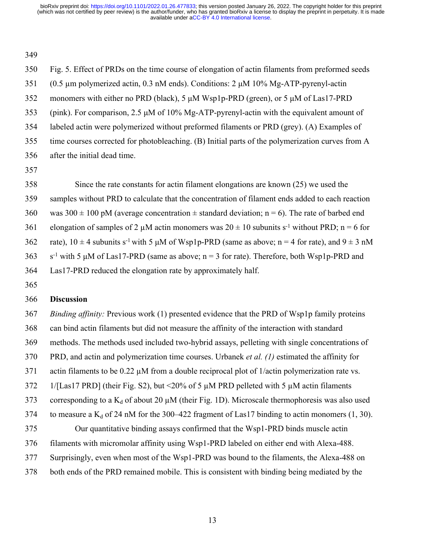349

350 Fig. 5. Effect of PRDs on the time course of elongation of actin filaments from preformed seeds 351 (0.5 µm polymerized actin, 0.3 nM ends). Conditions: 2 μM 10% Mg-ATP-pyrenyl-actin 352 monomers with either no PRD (black), 5 μM Wsp1p-PRD (green), or 5 μM of Las17-PRD 353 (pink). For comparison, 2.5 μM of 10% Mg-ATP-pyrenyl-actin with the equivalent amount of 354 labeled actin were polymerized without preformed filaments or PRD (grey). (A) Examples of 355 time courses corrected for photobleaching. (B) Initial parts of the polymerization curves from A 356 after the initial dead time. 357 358 Since the rate constants for actin filament elongations are known (25) we used the 359 samples without PRD to calculate that the concentration of filament ends added to each reaction

360 was  $300 \pm 100$  pM (average concentration  $\pm$  standard deviation; n = 6). The rate of barbed end

361 elongation of samples of 2  $\mu$ M actin monomers was  $20 \pm 10$  subunits s<sup>-1</sup> without PRD; n = 6 for

362 rate),  $10 \pm 4$  subunits s<sup>-1</sup> with 5  $\mu$ M of Wsp1p-PRD (same as above; n = 4 for rate), and 9  $\pm$  3 nM

363 s<sup>-1</sup> with 5  $\mu$ M of Las17-PRD (same as above; n = 3 for rate). Therefore, both Wsp1p-PRD and

364 Las17-PRD reduced the elongation rate by approximately half.

365

# 366 **Discussion**

367 *Binding affinity:* Previous work (1) presented evidence that the PRD of Wsp1p family proteins 368 can bind actin filaments but did not measure the affinity of the interaction with standard 369 methods. The methods used included two-hybrid assays, pelleting with single concentrations of 370 PRD, and actin and polymerization time courses. Urbanek *et al. (1)* estimated the affinity for 371 actin filaments to be 0.22  $\mu$ M from a double reciprocal plot of 1/actin polymerization rate vs. 372 1/[Las17 PRD] (their Fig. S2), but <20% of 5  $\mu$ M PRD pelleted with 5  $\mu$ M actin filaments 373 corresponding to a  $K_d$  of about 20  $\mu$ M (their Fig. 1D). Microscale thermophoresis was also used 374 to measure a  $K_d$  of 24 nM for the 300–422 fragment of Las17 binding to actin monomers (1, 30). 375 Our quantitative binding assays confirmed that the Wsp1-PRD binds muscle actin 376 filaments with micromolar affinity using Wsp1-PRD labeled on either end with Alexa-488. 377 Surprisingly, even when most of the Wsp1-PRD was bound to the filaments, the Alexa-488 on 378 both ends of the PRD remained mobile. This is consistent with binding being mediated by the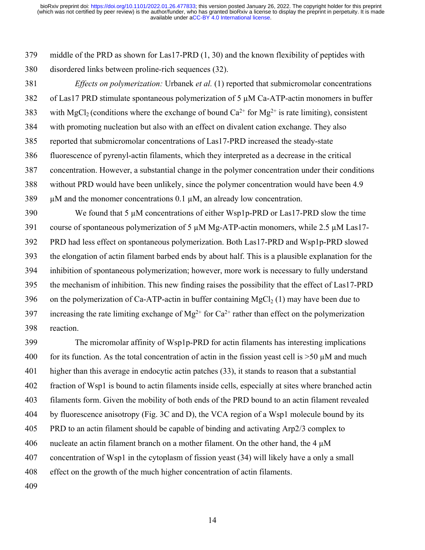379 middle of the PRD as shown for Las17-PRD (1, 30) and the known flexibility of peptides with 380 disordered links between proline-rich sequences (32).

381 *Effects on polymerization:* Urbanek *et al.* (1) reported that submicromolar concentrations 382 of Las17 PRD stimulate spontaneous polymerization of 5 µM Ca-ATP-actin monomers in buffer 383 with MgCl<sub>2</sub> (conditions where the exchange of bound  $Ca^{2+}$  for Mg<sup>2+</sup> is rate limiting), consistent 384 with promoting nucleation but also with an effect on divalent cation exchange. They also 385 reported that submicromolar concentrations of Las17-PRD increased the steady-state 386 fluorescence of pyrenyl-actin filaments, which they interpreted as a decrease in the critical 387 concentration. However, a substantial change in the polymer concentration under their conditions 388 without PRD would have been unlikely, since the polymer concentration would have been 4.9 389 µM and the monomer concentrations 0.1 µM, an already low concentration. 390 We found that 5  $\mu$ M concentrations of either Wsp1p-PRD or Las17-PRD slow the time 391 course of spontaneous polymerization of 5  $\mu$ M Mg-ATP-actin monomers, while 2.5  $\mu$ M Las17-

392 PRD had less effect on spontaneous polymerization. Both Las17-PRD and Wsp1p-PRD slowed 393 the elongation of actin filament barbed ends by about half. This is a plausible explanation for the 394 inhibition of spontaneous polymerization; however, more work is necessary to fully understand 395 the mechanism of inhibition. This new finding raises the possibility that the effect of Las17-PRD 396 on the polymerization of Ca-ATP-actin in buffer containing MgCl<sub>2</sub> (1) may have been due to 397 increasing the rate limiting exchange of  $Mg^{2+}$  for  $Ca^{2+}$  rather than effect on the polymerization 398 reaction.

399 The micromolar affinity of Wsp1p-PRD for actin filaments has interesting implications 400 for its function. As the total concentration of actin in the fission yeast cell is  $>50 \mu M$  and much 401 higher than this average in endocytic actin patches (33), it stands to reason that a substantial 402 fraction of Wsp1 is bound to actin filaments inside cells, especially at sites where branched actin 403 filaments form. Given the mobility of both ends of the PRD bound to an actin filament revealed 404 by fluorescence anisotropy (Fig. 3C and D), the VCA region of a Wsp1 molecule bound by its 405 PRD to an actin filament should be capable of binding and activating Arp2/3 complex to 406 nucleate an actin filament branch on a mother filament. On the other hand, the 4  $\mu$ M 407 concentration of Wsp1 in the cytoplasm of fission yeast (34) will likely have a only a small 408 effect on the growth of the much higher concentration of actin filaments.

409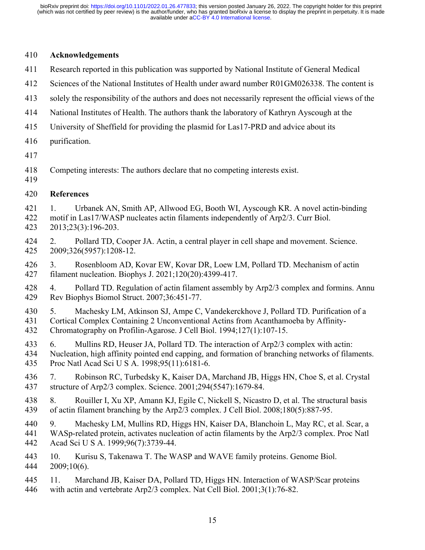# 410 **Acknowledgements**

- 411 Research reported in this publication was supported by National Institute of General Medical
- 412 Sciences of the National Institutes of Health under award number R01GM026338. The content is
- 413 solely the responsibility of the authors and does not necessarily represent the official views of the
- 414 National Institutes of Health. The authors thank the laboratory of Kathryn Ayscough at the
- 415 University of Sheffield for providing the plasmid for Las17-PRD and advice about its
- 416 purification.
- 417
- 418 Competing interests: The authors declare that no competing interests exist.
- 419
- 420 **References**

421 1. Urbanek AN, Smith AP, Allwood EG, Booth WI, Ayscough KR. A novel actin-binding 422 motif in Las17/WASP nucleates actin filaments independently of Arp2/3. Curr Biol. 423 2013;23(3):196-203.

- 424 2. Pollard TD, Cooper JA. Actin, a central player in cell shape and movement. Science. 425 2009;326(5957):1208-12.
- 426 3. Rosenbloom AD, Kovar EW, Kovar DR, Loew LM, Pollard TD. Mechanism of actin 427 filament nucleation. Biophys J. 2021;120(20):4399-417.
- 428 4. Pollard TD. Regulation of actin filament assembly by Arp2/3 complex and formins. Annu 429 Rev Biophys Biomol Struct. 2007;36:451-77.
- 430 5. Machesky LM, Atkinson SJ, Ampe C, Vandekerckhove J, Pollard TD. Purification of a 431 Cortical Complex Containing 2 Unconventional Actins from Acanthamoeba by Affinity-432 Chromatography on Profilin-Agarose. J Cell Biol. 1994;127(1):107-15.
- 433 6. Mullins RD, Heuser JA, Pollard TD. The interaction of Arp2/3 complex with actin:
- 434 Nucleation, high affinity pointed end capping, and formation of branching networks of filaments. 435 Proc Natl Acad Sci U S A. 1998;95(11):6181-6.
- 436 7. Robinson RC, Turbedsky K, Kaiser DA, Marchand JB, Higgs HN, Choe S, et al. Crystal 437 structure of Arp2/3 complex. Science. 2001;294(5547):1679-84.
- 438 8. Rouiller I, Xu XP, Amann KJ, Egile C, Nickell S, Nicastro D, et al. The structural basis 439 of actin filament branching by the Arp2/3 complex. J Cell Biol. 2008;180(5):887-95.
- 440 9. Machesky LM, Mullins RD, Higgs HN, Kaiser DA, Blanchoin L, May RC, et al. Scar, a 441 WASp-related protein, activates nucleation of actin filaments by the Arp2/3 complex. Proc Natl 442 Acad Sci U S A. 1999;96(7):3739-44.
- 443 10. Kurisu S, Takenawa T. The WASP and WAVE family proteins. Genome Biol. 444 2009;10(6).
- 445 11. Marchand JB, Kaiser DA, Pollard TD, Higgs HN. Interaction of WASP/Scar proteins 446 with actin and vertebrate Arp2/3 complex. Nat Cell Biol. 2001;3(1):76-82.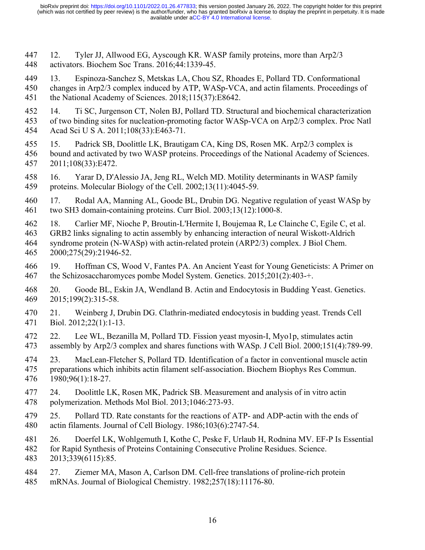447 12. Tyler JJ, Allwood EG, Ayscough KR. WASP family proteins, more than Arp2/3 448 activators. Biochem Soc Trans. 2016;44:1339-45.

449 13. Espinoza-Sanchez S, Metskas LA, Chou SZ, Rhoades E, Pollard TD. Conformational 450 changes in Arp2/3 complex induced by ATP, WASp-VCA, and actin filaments. Proceedings of 451 the National Academy of Sciences. 2018;115(37):E8642.

452 14. Ti SC, Jurgenson CT, Nolen BJ, Pollard TD. Structural and biochemical characterization 453 of two binding sites for nucleation-promoting factor WASp-VCA on Arp2/3 complex. Proc Natl 454 Acad Sci U S A. 2011;108(33):E463-71.

455 15. Padrick SB, Doolittle LK, Brautigam CA, King DS, Rosen MK. Arp2/3 complex is 456 bound and activated by two WASP proteins. Proceedings of the National Academy of Sciences. 457 2011;108(33):E472.

458 16. Yarar D, D'Alessio JA, Jeng RL, Welch MD. Motility determinants in WASP family 459 proteins. Molecular Biology of the Cell. 2002;13(11):4045-59.

460 17. Rodal AA, Manning AL, Goode BL, Drubin DG. Negative regulation of yeast WASp by 461 two SH3 domain-containing proteins. Curr Biol. 2003;13(12):1000-8.

462 18. Carlier MF, Nioche P, Broutin-L'Hermite I, Boujemaa R, Le Clainche C, Egile C, et al.

463 GRB2 links signaling to actin assembly by enhancing interaction of neural Wiskott-Aldrich 464 syndrome protein (N-WASp) with actin-related protein (ARP2/3) complex. J Biol Chem. 465 2000;275(29):21946-52.

466 19. Hoffman CS, Wood V, Fantes PA. An Ancient Yeast for Young Geneticists: A Primer on 467 the Schizosaccharomyces pombe Model System. Genetics. 2015;201(2):403-+.

468 20. Goode BL, Eskin JA, Wendland B. Actin and Endocytosis in Budding Yeast. Genetics. 469 2015;199(2):315-58.

470 21. Weinberg J, Drubin DG. Clathrin-mediated endocytosis in budding yeast. Trends Cell 471 Biol. 2012;22(1):1-13.

472 22. Lee WL, Bezanilla M, Pollard TD. Fission yeast myosin-I, Myo1p, stimulates actin 473 assembly by Arp2/3 complex and shares functions with WASp. J Cell Biol. 2000;151(4):789-99.

474 23. MacLean-Fletcher S, Pollard TD. Identification of a factor in conventional muscle actin 475 preparations which inhibits actin filament self-association. Biochem Biophys Res Commun. 476 1980;96(1):18-27.

477 24. Doolittle LK, Rosen MK, Padrick SB. Measurement and analysis of in vitro actin 478 polymerization. Methods Mol Biol. 2013;1046:273-93.

479 25. Pollard TD. Rate constants for the reactions of ATP- and ADP-actin with the ends of 480 actin filaments. Journal of Cell Biology. 1986;103(6):2747-54.

481 26. Doerfel LK, Wohlgemuth I, Kothe C, Peske F, Urlaub H, Rodnina MV. EF-P Is Essential

482 for Rapid Synthesis of Proteins Containing Consecutive Proline Residues. Science. 483 2013;339(6115):85.

484 27. Ziemer MA, Mason A, Carlson DM. Cell-free translations of proline-rich protein 485 mRNAs. Journal of Biological Chemistry. 1982;257(18):11176-80.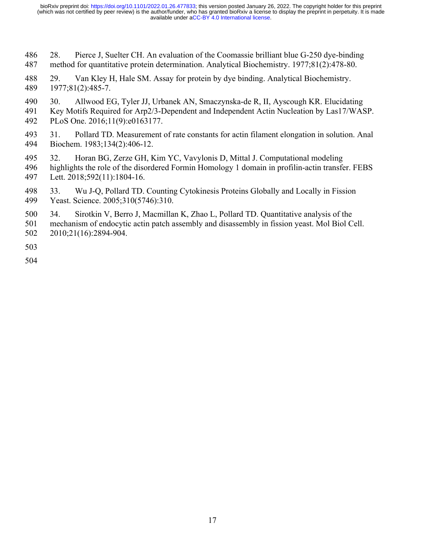- 486 28. Pierce J, Suelter CH. An evaluation of the Coomassie brilliant blue G-250 dye-binding 487 method for quantitative protein determination. Analytical Biochemistry. 1977;81(2):478-80.
- 488 29. Van Kley H, Hale SM. Assay for protein by dye binding. Analytical Biochemistry. 489 1977;81(2):485-7.
- 490 30. Allwood EG, Tyler JJ, Urbanek AN, Smaczynska-de R, II, Ayscough KR. Elucidating
- 491 Key Motifs Required for Arp2/3-Dependent and Independent Actin Nucleation by Las17/WASP. 492 PLoS One. 2016;11(9):e0163177.
- 493 31. Pollard TD. Measurement of rate constants for actin filament elongation in solution. Anal 494 Biochem. 1983;134(2):406-12.
- 495 32. Horan BG, Zerze GH, Kim YC, Vavylonis D, Mittal J. Computational modeling
- 496 highlights the role of the disordered Formin Homology 1 domain in profilin-actin transfer. FEBS 497 Lett. 2018;592(11):1804-16.
- 498 33. Wu J-Q, Pollard TD. Counting Cytokinesis Proteins Globally and Locally in Fission 499 Yeast. Science. 2005;310(5746):310.
- 500 34. Sirotkin V, Berro J, Macmillan K, Zhao L, Pollard TD. Quantitative analysis of the
- 501 mechanism of endocytic actin patch assembly and disassembly in fission yeast. Mol Biol Cell. 502 2010;21(16):2894-904.

503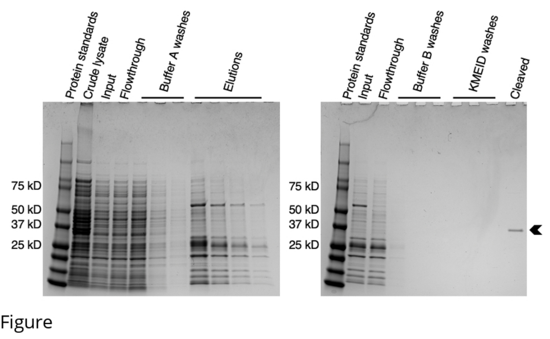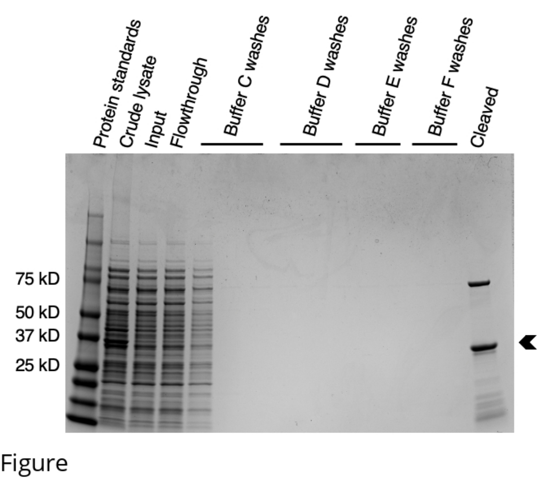Buffer C Washes Buffer D washes Buffer E washes Buffer F washes Protein standards Crude lysate<br>Input<br>Input Flowthrough<br>I<br>I Cleaved Input 75 kD 50 kD 37 kD 25 kD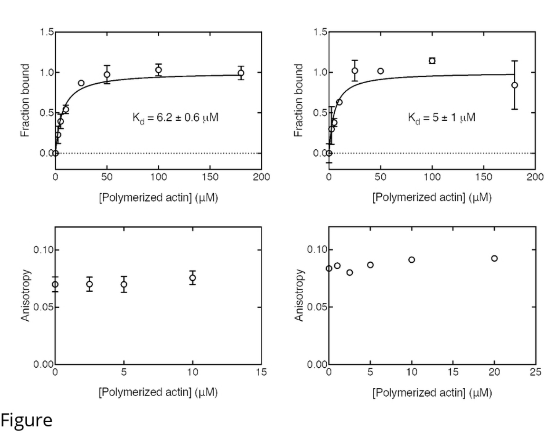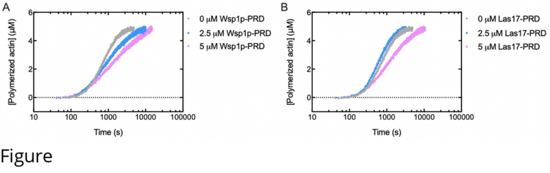

Figure